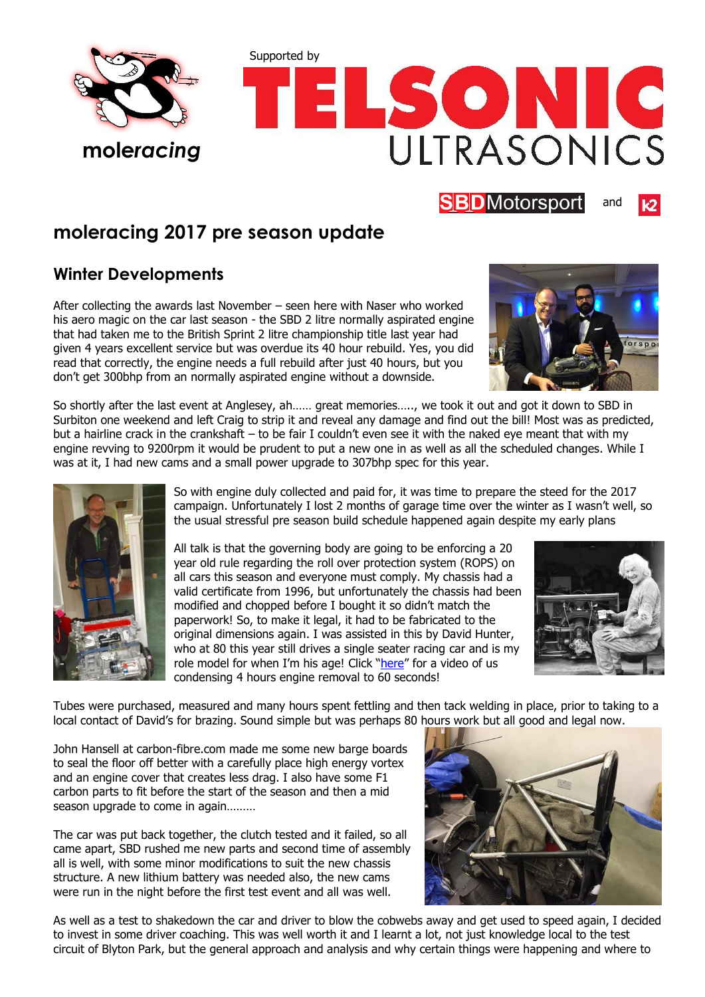



**SBD**Motorsport

## **moleracing 2017 pre season update**

## **Winter Developments**

After collecting the awards last November – seen here with Naser who worked his aero magic on the car last season - the SBD 2 litre normally aspirated engine that had taken me to the British Sprint 2 litre championship title last year had given 4 years excellent service but was overdue its 40 hour rebuild. Yes, you did read that correctly, the engine needs a full rebuild after just 40 hours, but you don't get 300bhp from an normally aspirated engine without a downside.



and

So shortly after the last event at Anglesey, ah…… great memories….., we took it out and got it down to SBD in Surbiton one weekend and left Craig to strip it and reveal any damage and find out the bill! Most was as predicted, but a hairline crack in the crankshaft – to be fair I couldn't even see it with the naked eye meant that with my engine revving to 9200rpm it would be prudent to put a new one in as well as all the scheduled changes. While I was at it, I had new cams and a small power upgrade to 307bhp spec for this year.



So with engine duly collected and paid for, it was time to prepare the steed for the 2017 campaign. Unfortunately I lost 2 months of garage time over the winter as I wasn't well, so the usual stressful pre season build schedule happened again despite my early plans

All talk is that the governing body are going to be enforcing a 20 year old rule regarding the roll over protection system (ROPS) on all cars this season and everyone must comply. My chassis had a valid certificate from 1996, but unfortunately the chassis had been modified and chopped before I bought it so didn't match the paperwork! So, to make it legal, it had to be fabricated to the original dimensions again. I was assisted in this by David Hunter, who at 80 this year still drives a single seater racing car and is my role model for when I'm his age! Click "[here](https://www.facebook.com/Smiles1963/videos/1399762906717720/)" for a video of us condensing 4 hours engine removal to 60 seconds!



Tubes were purchased, measured and many hours spent fettling and then tack welding in place, prior to taking to a local contact of David's for brazing. Sound simple but was perhaps 80 hours work but all good and legal now.

John Hansell at carbon-fibre.com made me some new barge boards to seal the floor off better with a carefully place high energy vortex and an engine cover that creates less drag. I also have some F1 carbon parts to fit before the start of the season and then a mid season upgrade to come in again………

The car was put back together, the clutch tested and it failed, so all came apart, SBD rushed me new parts and second time of assembly all is well, with some minor modifications to suit the new chassis structure. A new lithium battery was needed also, the new cams were run in the night before the first test event and all was well.



As well as a test to shakedown the car and driver to blow the cobwebs away and get used to speed again, I decided to invest in some driver coaching. This was well worth it and I learnt a lot, not just knowledge local to the test circuit of Blyton Park, but the general approach and analysis and why certain things were happening and where to